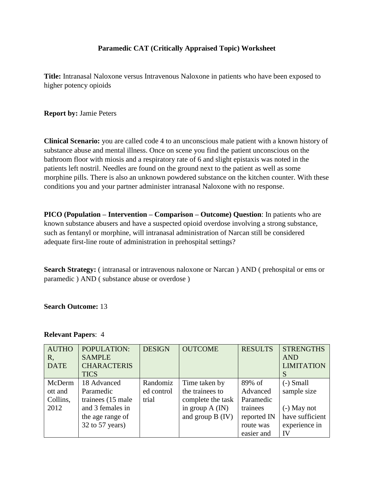## **Paramedic CAT (Critically Appraised Topic) Worksheet**

**Title:** Intranasal Naloxone versus Intravenous Naloxone in patients who have been exposed to higher potency opioids

**Report by:** Jamie Peters

**Clinical Scenario:** you are called code 4 to an unconscious male patient with a known history of substance abuse and mental illness. Once on scene you find the patient unconscious on the bathroom floor with miosis and a respiratory rate of 6 and slight epistaxis was noted in the patients left nostril. Needles are found on the ground next to the patient as well as some morphine pills. There is also an unknown powdered substance on the kitchen counter. With these conditions you and your partner administer intranasal Naloxone with no response.

**PICO (Population – Intervention – Comparison – Outcome) Question**: In patients who are known substance abusers and have a suspected opioid overdose involving a strong substance, such as fentanyl or morphine, will intranasal administration of Narcan still be considered adequate first-line route of administration in prehospital settings?

**Search Strategy:** ( intranasal or intravenous naloxone or Narcan ) AND ( prehospital or ems or paramedic ) AND ( substance abuse or overdose )

**Search Outcome:** 13

### **Relevant Papers**: 4

| <b>AUTHO</b><br>R,<br><b>DATE</b>     | POPULATION:<br><b>SAMPLE</b><br><b>CHARACTERIS</b><br><b>TICS</b>                                            | <b>DESIGN</b>                   | <b>OUTCOME</b>                                                                                   | <b>RESULTS</b>                                                                        | <b>STRENGTHS</b><br><b>AND</b><br><b>LIMITATION</b>                                   |
|---------------------------------------|--------------------------------------------------------------------------------------------------------------|---------------------------------|--------------------------------------------------------------------------------------------------|---------------------------------------------------------------------------------------|---------------------------------------------------------------------------------------|
| McDerm<br>ott and<br>Collins,<br>2012 | 18 Advanced<br>Paramedic<br>trainees (15 male<br>and 3 females in<br>the age range of<br>$32$ to $57$ years) | Randomiz<br>ed control<br>trial | Time taken by<br>the trainees to<br>complete the task<br>in group $A$ (IN)<br>and group $B$ (IV) | 89% of<br>Advanced<br>Paramedic<br>trainees<br>reported IN<br>route was<br>easier and | $(-)$ Small<br>sample size<br>$(-)$ May not<br>have sufficient<br>experience in<br>IV |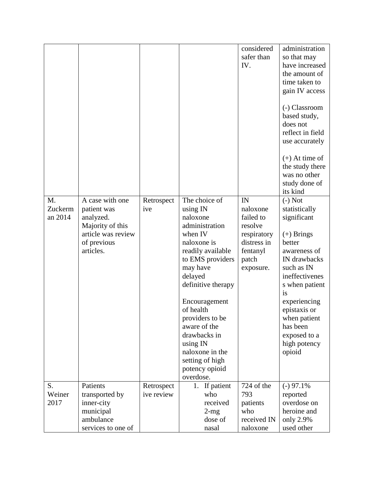|                          |                                                                                                                   |                          |                                                                                                                                                                                                                                                                                                                                           | considered<br>safer than<br>IV.                                                                        | administration<br>so that may<br>have increased<br>the amount of<br>time taken to<br>gain IV access<br>(-) Classroom<br>based study,<br>does not<br>reflect in field<br>use accurately                                                                            |
|--------------------------|-------------------------------------------------------------------------------------------------------------------|--------------------------|-------------------------------------------------------------------------------------------------------------------------------------------------------------------------------------------------------------------------------------------------------------------------------------------------------------------------------------------|--------------------------------------------------------------------------------------------------------|-------------------------------------------------------------------------------------------------------------------------------------------------------------------------------------------------------------------------------------------------------------------|
|                          |                                                                                                                   |                          |                                                                                                                                                                                                                                                                                                                                           |                                                                                                        | $(+)$ At time of<br>the study there<br>was no other<br>study done of<br>its kind                                                                                                                                                                                  |
| M.<br>Zuckerm<br>an 2014 | A case with one<br>patient was<br>analyzed.<br>Majority of this<br>article was review<br>of previous<br>articles. | Retrospect<br>ive        | The choice of<br>using IN<br>naloxone<br>administration<br>when IV<br>naloxone is<br>readily available<br>to EMS providers<br>may have<br>delayed<br>definitive therapy<br>Encouragement<br>of health<br>providers to be<br>aware of the<br>drawbacks in<br>using IN<br>naloxone in the<br>setting of high<br>potency opioid<br>overdose. | IN<br>naloxone<br>failed to<br>resolve<br>respiratory<br>distress in<br>fentanyl<br>patch<br>exposure. | $(-)$ Not<br>statistically<br>significant<br>$(+)$ Brings<br>better<br>awareness of<br>IN drawbacks<br>such as IN<br>ineffectivenes<br>s when patient<br>is<br>experiencing<br>epistaxis or<br>when patient<br>has been<br>exposed to a<br>high potency<br>opioid |
| S.<br>Weiner<br>2017     | Patients<br>transported by<br>inner-city<br>municipal<br>ambulance<br>services to one of                          | Retrospect<br>ive review | 1. If patient<br>who<br>received<br>$2-mg$<br>dose of<br>nasal                                                                                                                                                                                                                                                                            | 724 of the<br>793<br>patients<br>who<br>received IN<br>naloxone                                        | $(-)$ 97.1%<br>reported<br>overdose on<br>heroine and<br>only 2.9%<br>used other                                                                                                                                                                                  |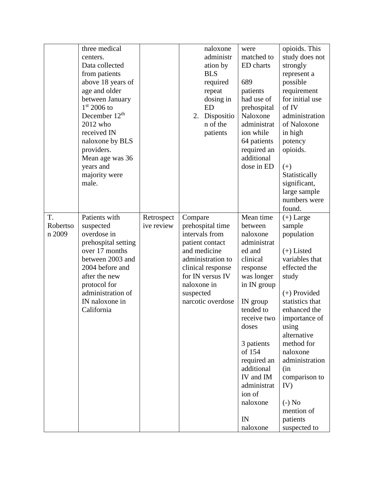|                          | three medical<br>centers.<br>Data collected<br>from patients<br>above 18 years of<br>age and older<br>between January<br>$1st$ 2006 to<br>December 12 <sup>th</sup><br>2012 who<br>received IN<br>naloxone by BLS<br>providers.<br>Mean age was 36<br>years and<br>majority were<br>male. |                          | 2.                                                  | naloxone<br>administr<br>ation by<br><b>BLS</b><br>required<br>repeat<br>dosing in<br><b>ED</b><br>Dispositio<br>n of the<br>patients    | were<br>matched to<br>ED charts<br>689<br>patients<br>had use of<br>prehospital<br>Naloxone<br>administrat<br>ion while<br>64 patients<br>required an<br>additional<br>dose in ED                                                                                                        | opioids. This<br>study does not<br>strongly<br>represent a<br>possible<br>requirement<br>for initial use<br>of IV<br>administration<br>of Naloxone<br>in high<br>potency<br>opioids.<br>$(+)$<br>Statistically<br>significant,<br>large sample<br>numbers were<br>found.                                                      |
|--------------------------|-------------------------------------------------------------------------------------------------------------------------------------------------------------------------------------------------------------------------------------------------------------------------------------------|--------------------------|-----------------------------------------------------|------------------------------------------------------------------------------------------------------------------------------------------|------------------------------------------------------------------------------------------------------------------------------------------------------------------------------------------------------------------------------------------------------------------------------------------|-------------------------------------------------------------------------------------------------------------------------------------------------------------------------------------------------------------------------------------------------------------------------------------------------------------------------------|
| T.<br>Robertso<br>n 2009 | Patients with<br>suspected<br>overdose in<br>prehospital setting<br>over 17 months<br>between 2003 and<br>2004 before and<br>after the new<br>protocol for<br>administration of<br>IN naloxone in<br>California                                                                           | Retrospect<br>ive review | Compare<br>and medicine<br>naloxone in<br>suspected | prehospital time<br>intervals from<br>patient contact<br>administration to<br>clinical response<br>for IN versus IV<br>narcotic overdose | Mean time<br>between<br>naloxone<br>administrat<br>ed and<br>clinical<br>response<br>was longer<br>in IN group<br>IN group<br>tended to<br>receive two<br>doses<br>3 patients<br>of 154<br>required an<br>additional<br>IV and IM<br>administrat<br>ion of<br>naloxone<br>IN<br>naloxone | $(+)$ Large<br>sample<br>population<br>$(+)$ Listed<br>variables that<br>effected the<br>study<br>$(+)$ Provided<br>statistics that<br>enhanced the<br>importance of<br>using<br>alternative<br>method for<br>naloxone<br>administration<br>(in<br>comparison to<br>IV)<br>$(-)$ No<br>mention of<br>patients<br>suspected to |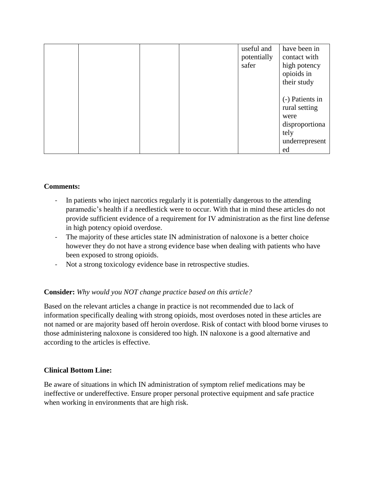|  |  | useful and<br>potentially<br>safer | have been in<br>contact with<br>high potency<br>opioids in<br>their study                  |
|--|--|------------------------------------|--------------------------------------------------------------------------------------------|
|  |  |                                    | (-) Patients in<br>rural setting<br>were<br>disproportiona<br>tely<br>underrepresent<br>ed |

## **Comments:**

- In patients who inject narcotics regularly it is potentially dangerous to the attending paramedic's health if a needlestick were to occur. With that in mind these articles do not provide sufficient evidence of a requirement for IV administration as the first line defense in high potency opioid overdose.
- The majority of these articles state IN administration of naloxone is a better choice however they do not have a strong evidence base when dealing with patients who have been exposed to strong opioids.
- Not a strong toxicology evidence base in retrospective studies.

# **Consider:** *Why would you NOT change practice based on this article?*

Based on the relevant articles a change in practice is not recommended due to lack of information specifically dealing with strong opioids, most overdoses noted in these articles are not named or are majority based off heroin overdose. Risk of contact with blood borne viruses to those administering naloxone is considered too high. IN naloxone is a good alternative and according to the articles is effective.

### **Clinical Bottom Line:**

Be aware of situations in which IN administration of symptom relief medications may be ineffective or undereffective. Ensure proper personal protective equipment and safe practice when working in environments that are high risk.